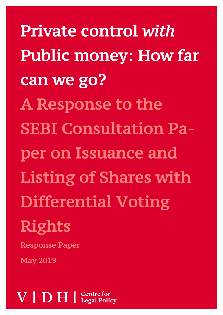Private control *with*  Public money: How far can we go? A Response to the SEBI Consultation Paper on Issuance and Listing of Shares with Differential Voting Rights

Response Paper

May 2019

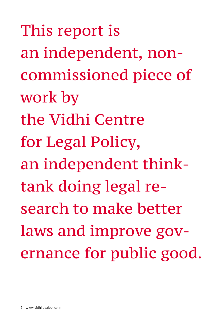This report is an independent, noncommissioned piece of work by the Vidhi Centre for Legal Policy, an independent thinktank doing legal research to make better laws and improve governance for public good.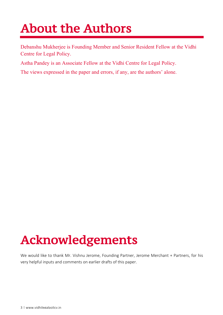### About the Authors

Debanshu Mukherjee is Founding Member and Senior Resident Fellow at the Vidhi Centre for Legal Policy.

Astha Pandey is an Associate Fellow at the Vidhi Centre for Legal Policy.

The views expressed in the paper and errors, if any, are the authors' alone.

## Acknowledgements

We would like to thank Mr. Vishnu Jerome, Founding Partner, Jerome Merchant + Partners, for his very helpful inputs and comments on earlier drafts of this paper.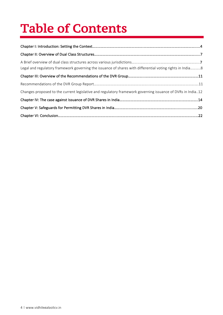## Table of Contents

| Legal and regulatory framework governing the issuance of shares with differential voting rights in India8  |  |
|------------------------------------------------------------------------------------------------------------|--|
|                                                                                                            |  |
|                                                                                                            |  |
| Changes proposed to the current legislative and regulatory framework governing issuance of DVRs in India12 |  |
|                                                                                                            |  |
|                                                                                                            |  |
|                                                                                                            |  |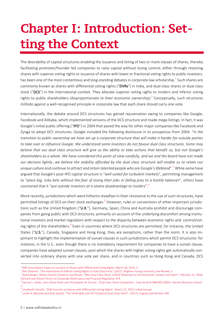## Chapter I: Introduction: Setting the Context

The desirability of capital structures enabling the issuance and listing of two or more classes of shares, thereby facilitating promoter/founder led companies to raise capital without losing control, either through retaining shares with superior voting rights or issuance of shares with lower or fractional voting rights to public investors, has been one of the most contentious and long-standing debates in corporate law scholarship.<sup>1</sup> Such shares are commonly known as shares with differential voting rights ("DVRs") in India, and dual-class shares or dual-class stock ("DCS") in the international context. They allocate superior voting rights to insiders and inferior voting rights to public shareholders (disproportionate to their economic ownership).<sup>2</sup> Conceptually, such structures militate against a well-recognised principle in corporate law that each share should carry one vote.

Internationally, the debate around DCS structures has gained rejuvenation owing to companies like Google, Facebook and Alibaba, which implemented versions of the DCS structure and made mega listings. In fact, it was Google's initial public offering ("IPO") in 2004 that paved the way for other major companies like Facebook and Zynga to adopt DCS structures. Google included the following disclosure in its prospectus from 2004: "*In the* transition to public ownership we have set up a corporate structure that will make it harder for outside parties to take over or influence Google. We understand some investors do not favour dual class structures. Some may believe that our dual class structure will give us the ability to take actions that benefit us, but not Google's shareholders as a whole. We have considered this point of view carefully, and we and the board have not made our decision lightly...we believe the stability afforded by the dual class structure will enable us to retain our *unique culture and continue to attract and retain talented people who are Google'slifeblood*".<sup>3</sup> While some have argued that Google's post-IPO capital structure is "*well suited for turbulent markets*", permitting management to "place big, risky bets without the fear of losing their jobs or falling prey to a hostile takeover", others have countered that it "*put outside investors at a severe disadvantage to insiders*".4

More recently, jurisdictions which were hitherto steadfast in their resistance to the use of such structures, have permitted listings of DCS on their stock exchanges.<sup>5</sup> However, rules or conventions of other important jurisdictions such as the United Kingdom ("U.K."), Germany, Spain, China and Australia prohibit and discourage companies from going public with DCS structures, primarily on account of the underlying discomfort among institutional investors and market regulators with respect to the disparity between economic rights and control/voting rights of the shareholders.<sup>6</sup> Even in countries where DCS structures are permitted, for instance, the United States ("U.S."), Canada, Singapore and Hong Kong, they are exceptions, rather than the norm. It is also important to highlight the implementation of sunset clauses in such jurisdictions which permit DCS structures: for instance, in the U.S., even though there is no mandatory requirement for companies to have a sunset clause, companies have adopted sunset clauses, post which the shares with higher voting rights get automatically converted into ordinary shares with one vote per share, and in countries such as Hong Kong and Canada, DCS

 $\overline{a}$ 

<sup>&</sup>lt;sup>1</sup> SEBI Consultation Paper on Issuance of Shares with Differential Voting Rights, March 20, 2019, 2.

 $^2$  Dov Solomon, "The Importance of Inferior Voting Rights in Dual-Class Firms" (2017), Brigham Young University Law Review, 3.

 $^3$  David Berger, Wilson Sonsini Goodrich and Rosati, "Why Dual Class Stock: A Brief Response to Commissioners Jackson and Stein", February 22, 2018, Harvard Law School Forum on Corporate Governance and Financial Regulation, 8-9.

<sup>4</sup> Samuel L. Hayes, Lynn Sharp Paine and Christopher M. Bruner, "Dual Class Share Companies", Case Study 9-306-032 (2005), Harvard Business School , 1.

<sup>5</sup> Umakanth Varottil, "SEBI Consults on Shares with Differential Voting Rights", March 22, 2019, IndiaCorpLaw.

<sup>6</sup> Lucian A. Bebchuk and Kobi Kastiel, "The Untenable Case for Perpetual Dual-Class Stock", (2017), Virginia Law Review, 600.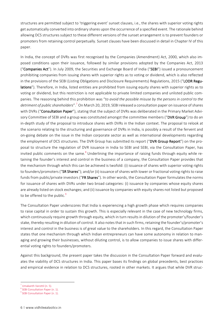structures are permitted subject to 'triggering event' sunset clauses, i.e., the shares with superior voting rights get automatically converted into ordinary shares upon the occurrence of a specified event. The rationale behind allowing DCS structures subject to these different versions of the sunset arrangement is to prevent founders or promoters from retaining control perpetually. Sunset clauses have been discussed in detail in Chapter IV of this paper.

In India, the concept of DVRs was first recognised by the Companies (Amendment) Act, 2000, which also imposed conditions upon their issuance, followed by similar provisions adopted by the Companies Act, 2013 ("Companies Act"). In July 2009, the Securities and Exchange Board of India ("SEBI") issued a pronouncement prohibiting companies from issuing shares with superior rights as to voting or dividend, which is also reflected in the provisions of the SEBI (Listing Obligations and Disclosure Requirements) Regulations, 2015 ("LODR Regulations"). Therefore, in India, listed entities are prohibited from issuing equity shares with superior rights as to voting or dividend, but this restriction is not applicable to private limited companies and unlisted public companies. The reasoning behind this prohibition was "*to avoid the possible misuse by the persons in control to the detriment of public shareholders*".<sup>7</sup> On March 20, 2019, SEBI released a consultation paper on issuance ofshares with DVRs ("Consultation Paper"), stating that the subject of DVRs was deliberated in the Primary Market Advisory Committee of SEBI and a group was constituted amongst the committee members ("DVR Group") to do an in-depth study of the proposal to introduce shares with DVRs in the Indian context. The proposal to relook at the scenario relating to the structuring and governance of DVRs in India, is possibly a result of the fervent and on-going debate on the issue in the Indian corporate sector as well as international developments regarding the employment of DCS structures. The DVR Group has submitted its report ("DVR Group Report") on the proposal to structure the regulation of DVR issuance in India to SEBI and SEBI, via the Consultation Paper, has invited public comments on the same.<sup>8</sup> Underlining the importance of raising funds through equity while retaining the founder's interest and control in the business of a company, the Consultation Paper provides that the mechanism through which this can be achieved is twofold: (i) issuance of shares with superior voting rights to founders/promoters ("SR Shares"); and/or (ii) issuance of shares with lower or fractional voting rights to raise funds from public/private investors ("FR Shares"). In other words, the Consultation Paper formulates the norms for issuance of shares with DVRs under two broad categories: (i) issuance by companies whose equity shares are already listed on stock exchanges; and (ii) issuance by companies with equity shares not listed but proposed to be offered to the public.<sup>9</sup>

The Consultation Paper underscores that India is experiencing a high growth phase which requires companies to raise capital in order to sustain this growth. This is especially relevant in the case of new technology firms, which continuously require growth through equity, which in turn results in dilution of the promoter's/founder's stake, thereby resulting in dilution of control. It also notes that in such firms, retaining the founder's/promoter's interest and control in the business is of great value to the shareholders. In this regard, the Consultation Paper states that one mechanism through which Indian entrepreneurs can have some autonomy in relation to managing and growing their businesses, without diluting control, is to allow companies to issue shares with differential voting rights to founders/promoters.

Against this background, the present paper takes the discussion in the Consultation Paper forward and evaluates the viability of DCS structures in India. This paper bases its findings on global precedents, best practices and empirical evidence in relation to DCS structures, rooted in other markets. It argues that while DVR struc-

 $'$  Umakanth Varottil (n. 5).

<sup>&</sup>lt;sup>8</sup> SEBI Consultation Paper (n. 1).

<sup>&</sup>lt;sup>9</sup> SEBI Consultation Paper (n. 1).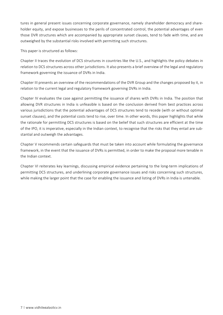tures in general present issues concerning corporate governance, namely shareholder democracy and shareholder equity, and expose businesses to the perils of concentrated control, the potential advantages of even those DVR structures which are accompanied by appropriate sunset clauses, tend to fade with time, and are outweighed by the substantial risks involved with permitting such structures.

This paper is structured as follows:

Chapter II traces the evolution of DCS structures in countries like the U.S., and highlights the policy debates in relation to DCS structures across other jurisdictions. It also presents a brief overview of the legal and regulatory framework governing the issuance of DVRs in India.

Chapter III presents an overview of the recommendations of the DVR Group and the changes proposed by it, in relation to the current legal and regulatory framework governing DVRs in India.

Chapter IV evaluates the case against permitting the issuance of shares with DVRs in India. The position that allowing DVR structures in India is unfeasible is based on the conclusion derived from best practices across various jurisdictions that the potential advantages of DCS structures tend to recede (with or without optimal sunset clauses), and the potential costs tend to rise, over time. In other words, this paper highlights that while the rationale for permitting DCS structures is based on the belief that such structures are efficient at the time of the IPO, it is imperative, especially in the Indian context, to recognise that the risks that they entail are substantial and outweigh the advantages.

Chapter V recommends certain safeguards that must be taken into account while formulating the governance framework, in the event that the issuance of DVRs is permitted, in order to make the proposal more tenable in the Indian context.

Chapter VI reiterates key learnings, discussing empirical evidence pertaining to the long-term implications of permitting DCS structures, and underlining corporate governance issues and risks concerning such structures, while making the larger point that the case for enabling the issuance and listing of DVRs in India is untenable.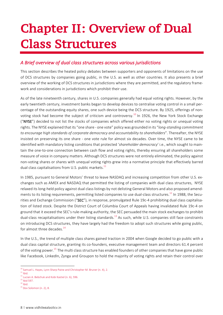### Chapter II: Overview of Dual Class Structures

### *A Brief overview of dual class structures across various jurisdictions*

This section describes the heated policy debates between supporters and opponents of limitations on the use of DCS structures by companies going public, in the U.S. as well as other countries. It also presents a brief overview of the working of DCS structures in jurisdictions where they are permitted, and the regulatory framework and considerations in jurisdictions which prohibit their use.

As of the late nineteenth century, shares in U.S. companies generally had equal voting rights. However, by the early twentieth century, investment banks began to develop devices to centralise voting control in a small percentage of the outstanding equity shares, one such device being the DCS structure. By 1925, offerings of nonvoting stock had become the subject of criticism and controversy.<sup>10</sup> In 1926, the New York Stock Exchange ("NYSE") decided to not list the stocks of companies which offered either no voting rights or unequal voting rights. The NYSE explained that its "one share - one vote" policy was grounded in its "*long-standing commitment to encourage high standards of corporate democracy and accountability to shareholders*". Thereafter, the NYSE insisted on preserving its one share - one vote rule for almost six decades. Over time, the NYSE came to be identified with mandatory listing conditions that protected '*shareholder democracy*' i.e., which sought to maintain the one-to-one connection between cash flow and voting rights, thereby ensuring all shareholders some measure of voice in company matters. Although DCS structures were not entirely eliminated, the policy against non-voting shares or shares with unequal voting rights grew into a normative principle that effectively barred dual class capitalisations from U.S. public markets. $^{11}$ 

In 1985, pursuant to General Motors' threat to leave NASDAQ and increasing competition from other U.S. exchanges such as AMEX and NASDAQ that permitted the listing of companies with dual class structures, NYSE relaxed its long-held policy against dual class listings by not delisting General Motors and also proposed amendments to its listing requirements, permitting listed companies to use dual-class structures.<sup>12</sup> In 1988, the Securities and Exchange Commission ("SEC"), in response, promulgated Rule 19c-4 prohibiting dual class capitalisation of listed stock. Despite the District Court of Columbia Court of Appeals having invalidated Rule 19c-4 on ground that it exceed the SEC's rule-making authority, the SEC persuaded the main stock exchanges to prohibit dual-class recapitalisations under their listing standards.<sup>13</sup> As such, while U.S. companies still face constraints on introducing DCS structures, they have largely had the freedom to adopt such structures while going public, for almost three decades.<sup>14</sup>

In the U.S., the trend of multiple class shares gained traction in 2004 when Google decided to go public with a dual class capital structure, granting its co-founders, executive management team and directors 61.4 percent of the voting power.<sup>15</sup> The multi class structure has enabled founders of other companies that have gone public like Facebook, LinkedIn, Zynga and Groupon to hold the majority of voting rights and retain their control over

 $\overline{a}$ <sup>10</sup> Samuel L. Hayes, Lynn Sharp Paine and Christopher M. Bruner (n. 4), 2.

 $11$  Ibid.

<sup>&</sup>lt;sup>12</sup> Lucian A. Bebchuk and Kobi Kastiel (n. 6), 596.

 $13$  Ibid 597.  $14$  Ibid.

 $15$  Dov Solomon (n. 2), 8.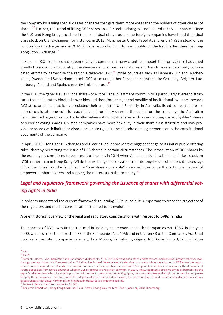the company by issuing special classes of shares that give them more votes than the holders of other classes of shares.<sup>16</sup> Further, this trend of listing DCS shares on U.S. stock exchanges is not limited to U.S. companies. Since the U.K. and Hong Kong prohibited the use of dual class stock, some foreign companies have listed their dual class stock on U.S. exchanges, for instance, in 2012, Manchester United listed its shares on NYSE instead of the London Stock Exchange, and in 2014, Alibaba Group Holding Ltd. went public on the NYSE rather than the Hong Kong Stock Exchange.<sup>17</sup>

In Europe, DCS structures have been relatively common in many countries, though their prevalence has varied greatly from country to country. The diverse national business cultures and trends have substantially complicated efforts to harmonise the region's takeover laws.<sup>18</sup> While countries such as Denmark, Finland, Netherlands, Sweden and Switzerland permit DCS structures, other European countries like Germany, Belgium, Luxembourg, Poland and Spain, currently limit their use.<sup>19</sup>

In the U.K., the general rule is "one share - one vote". The investment community is particularly averse to structures that deliberately block takeover bids and therefore, the general hostility of institutional investors towards DCS structures has practically precluded their use in the U.K. Similarly, in Australia, listed companies are required to allocate one vote for each fully paid ordinary share in the capital on the company. The Australian Securities Exchange does not trade alternative voting rights shares such as non-voting shares, 'golden' shares or superior voting shares. Unlisted companies have more flexibility in their share class structure and may provide for shares with limited or disproportionate rights in the shareholders' agreements or in the constitutional documents of the company.

In April, 2018, Hong Kong Exchanges and Clearing Ltd. approved the biggest change to its initial public offering rules, thereby permitting the issue of DCS shares in certain circumstances. The introduction of DCS shares by the exchange is considered to be a result of the loss in 2014 when Alibaba decided to list its dual class stock on NYSE rather than in Hong Kong. While the exchange has deviated from its long-held prohibition, it placed significant emphasis on the fact that the "one share - one vote" rule continues to be the optimum method of empowering shareholders and aligning their interests in the company.<sup>20</sup>

### Legal and regulatory framework governing the *issuance* of shares with differential vot*ing rights in India*

In order to understand the current framework governing DVRs in India, it is important to trace the trajectory of the regulatory and market considerations that led to its evolution.

#### A brief historical overview of the legal and regulatory considerations with respect to DVRs in India

The concept of DVRs was first introduced in India by an amendment to the Companies Act, 1956, in the year 2000, which is reflected in Section 86 of the Companies Act, 1956 and in Section 43 of the Companies Act. Until now, only five listed companies, namely, Tata Motors, Pantaloons, Gujarat NRE Coke Limited, Jain Irrigation

 $16$  Ibid.

 $17$  Ibid 9.

<sup>&</sup>lt;sup>18</sup> Samuel L. Hayes, Lynn Sharp Paine and Christopher M. Bruner (n. 4), 4. The underlying basis of the efforts towards harmonising Europe's takeover laws, through the negotiation of a European Union (EU) directive, is the differential use of defensive structures such as the adoption of DCS across the region: while Germany wanted the EU's takeover directive to render defense mechanisms such as DCS inoperable in certain circumstances, this demand met strong opposition from Nordic countries wherein DCS structures are relatively common. In 2004, the EU adopted a directive aimed at harmonising the region's takeover laws which included a provision with respect to restrictions on voting rights, but countries reserve the right to not require companies to apply these provisions. Therefore, while the adoption of a directive is a step forward, the extent of diversity and consequently, discord, on such key issues suggests that actual harmonisation of takeover measures is a long time coming.

<sup>&</sup>lt;sup>19</sup> Lucian A. Bebchuk and Kobi Kastiel (n. 6), 600.

<sup>&</sup>lt;sup>20</sup> Benjamin Robertson, "Hong Kong Adds Dual-Class Shares, Paving Way for Tech Titans", April 24, 2018, Bloomberg.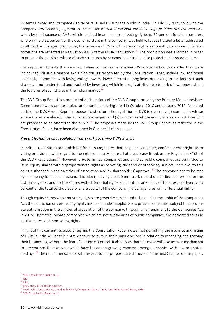Systems Limited and Stampede Capital have issued DVRs to the public in India. On July 21, 2009, following the Company Law Board's judgment in the matter of *Anand Pershad Jaiswal* v. *Jagatjit Industries Ltd. and Ors*. whereby the issuance of DVRs which resulted in an increase of voting rights to 62 percent for the promoters who only held 32 percent of the economic stake in the company, was held valid, SEBI issued a letter addressed to all stock exchanges, prohibiting the issuance of DVRs with superior rights as to voting or dividend. Similar provisions are reflected in Regulation 41(3) of the LODR Regulations.<sup>21</sup> The prohibition was enforced in order to prevent the possible misuse of such structures by persons in control, and to protect public shareholders.

It is important to note that very few Indian companies have issued DVRs, even a few years after they were introduced. Plausible reasons explaining this, as recognised by the Consultation Paper, include low additional dividends, discomfort with losing voting powers, lower interest among investors, owing to the fact that such shares are not understood and tracked by investors, which in turn, is attributable to lack of awareness about the features of such shares in the Indian market. $^{22}$ 

The DVR Group Report is a product of deliberations of the DVR Group formed by the Primary Market Advisory Committee to work on the subject at its various meetings held in October, 2018 and January, 2019. As stated earlier, the DVR Group Report proposes to structure the regulation of DVR issuance by: (i) companies whose equity shares are already listed on stock exchanges; and (ii) companies whose equity shares are not listed but are proposed to be offered to the public.<sup>23</sup> The proposals made by the DVR Group Report, as reflected in the Consultation Paper, have been discussed in Chapter III of this paper.

#### *Present legislative and regulatory framework governing DVRs in India*

In India, listed entities are prohibited from issuing shares that may, in any manner, confer superior rights as to voting or dividend with regard to the rights on equity shares that are already listed, as per Regulation 41(3) of the LODR Regulations.<sup>24</sup> However, private limited companies and unlisted public companies are permitted to issue equity shares with disproportionate rights as to voting, dividend or otherwise, subject, *inter alia*, to this being authorised in their articles of association and by shareholders' approval.<sup>25</sup> The preconditions to be met by a company for such an issuance include: (i) having a consistent track record of distributable profits for the last three years; and (ii) the shares with differential rights shall not, at any point of time, exceed twenty six percent of the total paid-up equity share capital of the company (including shares with differential rights). 

Though equity shares with non-voting rights are generally considered to be outside the ambit of the Companies Act, the restriction on zero voting rights has been made inapplicable to private companies, subject to appropriate authorisation in the articles of association of the company, through an amendment to the Companies Act in 2015. Therefore, private companies which are not subsidiaries of public companies, are permitted to issue equity shares with non-voting rights.

In light of this current regulatory regime, the Consultation Paper notes that permitting the issuance and listing of DVRs in India will enable entrepreneurs to pursue their unique visions in relation to managing and growing their businesses, without the fear of dilution of control. It also notes that this move will also act as a mechanism to prevent hostile takeovers which have become a growing concern among companies with low promoterholdings.<sup>26</sup> The recommendations with respect to this proposal are discussed in the next Chapter of this paper.

<sup>&</sup>lt;sup>21</sup> SEBI Consultation Paper (n. 1).

 $22$  Ibid.

 $23$  Ibid.

<sup>&</sup>lt;sup>24</sup> Regulation 41, LODR Regulations.

<sup>&</sup>lt;sup>25</sup> Section 43, Companies Act, read with Rule 4, Companies (Share Capital and Debentures) Rules, 2014.

<sup>&</sup>lt;sup>26</sup> SEBI Consultation Paper (n. 1).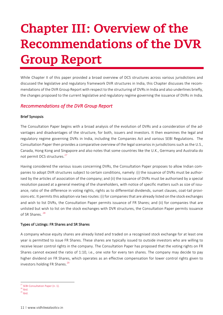# Chapter III: Overview of the Recommendations of the DVR Group Report

While Chapter II of this paper provided a broad overview of DCS structures across various jurisdictions and discussed the legislative and regulatory framework DVR structures in India, this Chapter discusses the recommendations of the DVR Group Report with respect to the structuring of DVRsin India and also underlines briefly, the changes proposed to the current legislative and regulatory regime governing the issuance of DVRs in India.

### **Recommendations of the DVR Group Report**

#### **Brief Synopsis**

The Consultation Paper begins with a broad analysis of the evolution of DVRs and a consideration of the advantages and disadvantages of the structure, for both, issuers and investors. It then examines the legal and regulatory regime governing DVRs in India, including the Companies Act and various SEBI Regulations. The Consultation Paper then provides a comparative overview of the legal scenarios in jurisdictions such as the U.S., Canada, Hong Kong and Singapore and also notes that some countries like the U.K., Germany and Australia do not permit DCS structures.<sup>27</sup>

Having considered the various issues concerning DVRs, the Consultation Paper proposes to allow Indian companies to adopt DVR structures subject to certain conditions, namely: (i) the issuance of DVRs must be authorised by the articles of association of the company; and (ii) the issuance of DVRs must be authorised by a special resolution passed at a general meeting of the shareholders, with notice of specific matters such as size of issuance, ratio of the difference in voting rights, rights as to differential dividends, sunset clauses, coat-tail provisions etc. It permits this adoption via two routes: (i) for companies that are already listed on the stock exchanges and wish to list DVRs, the Consultation Paper permits issuance of FR Shares; and (ii) for companies that are unlisted but wish to list on the stock exchanges with DVR structures, the Consultation Paper permits issuance of SR Shares.<sup>28</sup>

#### Types of Listings: FR Shares and SR Shares

A company whose equity shares are already listed and traded on a recognised stock exchange for at least one year is permitted to issue FR Shares. These shares are typically issued to outside investors who are willing to receive lesser control rights in the company. The Consultation Paper has proposed that the voting rights on FR Shares cannot exceed the ratio of 1:10, i.e., one vote for every ten shares. The company may decide to pay higher dividend on FR Shares, which operates as an effective compensation for lower control rights given to investors holding FR Shares.<sup>29</sup>

<sup>&</sup>lt;sup>27</sup> SEBI Consultation Paper (n. 1).

 $28$  Ibid.  $29$  Ibid.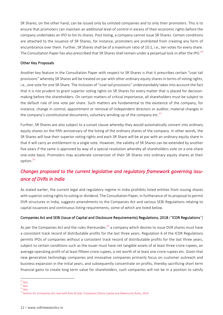SR Shares, on the other hand, can be issued only by unlisted companies and to only their promoters. This is to ensure that promoters can maintain an additional level of control in excess of their economic rights before the company undertakes an IPO to list its shares. Post listing, a company cannot issue SR Shares. Certain conditions are attached to the issuance of SR Shares, for instance, promoters are prohibited from creating any form of encumbrance over them. Further, SR Shares shall be of a maximum ratio of 10:1, i.e., ten votes for every share. The Consultation Paper has also prescribed that SR Shares shall remain under a perpetual lock-in after the IPO.<sup>30</sup>

#### Other Key Proposals

Another key feature in the Consultation Paper with respect to SR Shares is that it prescribes certain "coat tail provisions" whereby SR Shares will be treated on par with other ordinary equity shares in terms of voting rights, i.e., one vote for one SR Share. The inclusion of "coat tail provisions" understandably takes into account the fact that it is not prudent to grant superior voting rights on SR Shares for every matter that is placed for decisionmaking before the shareholders. On certain matters of critical importance, all shareholders must be subject to the default rule of one vote per share. Such matters are fundamental to the existence of the company, for instance, change in control, appointment or removal of independent directors or auditor, material changes in the company's constitutional documents, voluntary winding up of the company etc. $31$ 

Further, SR Shares are also subject to a sunset clause whereby they would automatically convert into ordinary equity shares on the fifth anniversary of the listing of the ordinary shares of the company. In other words, the SR Shares will lose their superior voting rights and each SR Share will be at par with an ordinary equity share in that it will carry an entitlement to a single vote. However, the validity of SR Shares can be extended by another five years if the same is approved by way of a special resolution whereby all shareholders vote on a one-share one-vote basis. Promoters may accelerate conversion of their SR Shares into ordinary equity shares at their option.<sup>32</sup>

### *Changes proposed to the current legislative and regulatory framework governing issuance of DVRs in India*

As stated earlier, the current legal and regulatory regime in India prohibits listed entities from issuing shares with superior voting rights to voting or dividend. The Consultation Paper, in furtherance of its proposal to permit DVR structures in India, suggests amendments to the Companies Act and various SEBI Regulations relating to capital issuances and continuous listing requirements, some of which are listed below.

#### Companies Act and SEBI (Issue of Capital and Disclosure Requirements) Regulations, 2018 *("*ICDRRegulations*")*

As per the Companies Act and the rules thereunder,<sup>33</sup> a company which desires to issue DVR shares must have a consistent track record of distributable profits for the last three years. Regulation 6 of the ICDR Regulations permits IPOs of companies without a consistent track record of distributable profits for the last three years, subject to certain conditions such as the issuer must have net tangible assets of at least three crore rupees, an average operating profit of at least fifteen crore rupees, a net worth of at least one crore rupees etc. Given that new generation technology companies and innovative companies primarily focus on customer outreach and business expansion in the initial years, and subsequently concentrate on profits, thereby sacrificing short term financial gains to create long term value for shareholders, such companies will not be in a position to satisfy

 $\overline{a}$  $30$  Ibid.

 $31$  Ibid.

 $32$  Ibid.

<sup>&</sup>lt;sup>33</sup> Section 43, Companies Act read with Rule 4(1)(d), Companies (Share Capital and Debenture) Rules, 2014.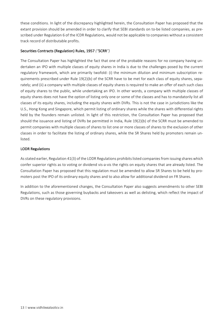these conditions. In light of the discrepancy highlighted herein, the Consultation Paper has proposed that the extant provision should be amended in order to clarify that SEBI standards on to-be listed companies, as prescribed under Regulation 6 of the ICDR Regulations, would not be applicable to companies without a consistent track record of distributable profits.

#### Securities Contracts (Regulation) Rules, 1957 *("SCRR")*

The Consultation Paper has highlighted the fact that one of the probable reasons for no company having undertaken an IPO with multiple classes of equity shares in India is due to the challenges posed by the current regulatory framework, which are primarily twofold: (i) the minimum dilution and minimum subscription requirements prescribed under Rule 19(2)(b) of the SCRR have to be met for each class of equity shares, separately; and (ii) a company with multiple classes of equity shares is required to make an offer of each such class of equity shares to the public, while undertaking an IPO. In other words, a company with multiple classes of equity shares does not have the option of listing only one or some of the classes and has to mandatorily list all classes of its equity shares, including the equity shares with DVRs. This is not the case in jurisdictions like the U.S., Hong Kong and Singapore, which permit listing of ordinary shares while the shares with differential rights held by the founders remain unlisted. In light of this restriction, the Consultation Paper has proposed that should the issuance and listing of DVRs be permitted in India, Rule 19(2)(b) of the SCRR must be amended to permit companies with multiple classes of shares to list one or more classes of shares to the exclusion of other classes in order to facilitate the listing of ordinary shares, while the SR Shares held by promoters remain unlisted.

#### LODR Regulations

As stated earlier, Regulation 41(3) of the LODR Regulations prohibits listed companies from issuing shares which confer superior rights as to voting or dividend vis-a-vis the rights on equity shares that are already listed. The Consultation Paper has proposed that this regulation must be amended to allow SR Shares to be held by promoters post the IPO of its ordinary equity shares and to also allow for additional dividend on FR Shares.

In addition to the aforementioned changes, the Consultation Paper also suggests amendments to other SEBI Regulations, such as those governing buybacks and takeovers as well as delisting, which reflect the impact of DVRs on these regulatory provisions.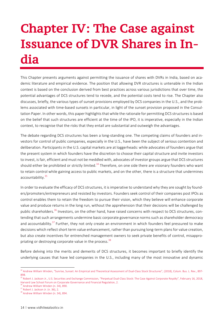## Chapter IV: The Case against Issuance of DVR Shares in India

This Chapter presents arguments against permitting the issuance of shares with DVRs in India, based on academic literature and empirical evidence. The position that allowing DVR structures is untenable in the Indian context is based on the conclusion derived from best practices across various jurisdictions that over time, the potential advantages of DCS structures tend to recede, and the potential costs tend to rise. The Chapter also discusses, briefly, the various types of sunset provisions employed by DCS companies in the U.S., and the problems associated with time-based sunsets in particular, in light of the sunset provision proposed in the Consultation Paper. In other words, this paper highlights that while the rationale for permitting DCS structures is based on the belief that such structures are efficient at the time of the IPO, it is imperative, especially in the Indian context, to recognise that the risks that they entail are substantial and outweigh the advantages.

The debate regarding DCS structures has been a long-standing one. The competing claims of founders and investors for control of public companies, especially in the U.S., have been the subject of serious contention and deliberation. Participants in the U.S. capital markets are at loggerheads: while advocates of founders argue that the present system in which founders have the discretion to choose their capital structure and invite investors to invest, isfair, efficient and must not be meddled with, advocates of investor groups argue that DCS structures should either be prohibited or strictly limited.<sup>34</sup> Therefore, on one side there are visionary founders who want to retain control while gaining access to public markets, and on the other, there is a structure that undermines accountability.<sup>35</sup>

In order to evaluate the efficacy of DCS structures, it is imperative to understand why they are sought by founders/promoters/entrepreneurs and resisted by investors. Founders seek control of their companies post IPOs as control enables them to retain the freedom to pursue their vision, which they believe will enhance corporate value and produce returns in the long run, without the apprehension that their decisions will be challenged by public shareholders.<sup>36</sup> Investors, on the other hand, have raised concerns with respect to DCS structures, contending that such arrangements undermine basic corporate governance norms such as shareholder democracy and accountability.<sup>37</sup> Further, they not only create an environment in which founders feel pressured to make decisions which reflect short term value enhancement, rather than pursuing long-term plans for value creation, but also create incentives for entrenched management owners to seek private benefits of control, misappropriating or destroying corporate value in the process.<sup>38</sup>

Before delving into the merits and demerits of DCS structures, it becomes important to briefly identify the underlying causes that have led companies in the U.S., including many of the most innovative and dynamic

<sup>36</sup> Andrew William Winden (n. 34), 890.

 $\overline{a}$ 

<sup>&</sup>lt;sup>34</sup> Andrew William Winden, "Sunrise, Sunset: An Empirical and Theoretical Assessment of Dual-Class Stock Structures", (2018), Colum. Bus. L. Rev., 897-898.

<sup>&</sup>lt;sup>35</sup> Robert J. Jackson Jr., U.S. Securities and Exchange Commission, "Perpetual Dual-Class Stock: The Case Against Corporate Royalty", February 16, 2018, Harvard Law School Forum on Corporate Governance and Financial Regulation, 2.

<sup>&</sup>lt;sup>37</sup> Robert J. Jackson Jr. (n. 36), 2.

<sup>&</sup>lt;sup>38</sup> Andrew William Winden (n. 34), 894.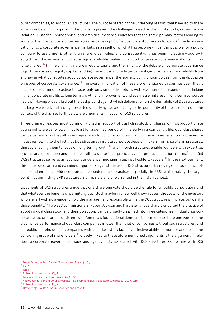public companies, to adopt DCS structures. The purpose of tracing the underlying reasons that have led to these structures becoming popular in the U.S. is to present the challenges posed by them holistically, rather than in isolation. Historical, philosophical and empirical evidence indicates that the three primary factors leading to some of the most successful technology companies opting for dual class stock are as follows: (i) the financialization of U.S. corporate governance markets, as a result of which it has become virtually impossible for a public company to use a metric other than shareholder value, and consequently, it has been increasingly acknowledged that the experiment of equating shareholder value with good corporate governance standards has largely failed;<sup>39</sup> (ii) the changing nature of equity capital and the limiting of the debate on corporate governance to just the voices of equity capital; and (iii) the exclusion of a large percentage of American households from any say in what constitutes good corporate governance, thereby excluding critical voices from the discussion on issues of corporate governance.<sup>40</sup> The overall implication of these aforementioned causes has been that it has become common practice to focus only on shareholder return, with less interest in issues such as linking higher corporate profits to long term growth and improvement, and even lesser interest in long-term corporate health.<sup>41</sup> Having broadly laid out the background against which deliberation on the desirability of DCS structures has largely ensued, and having presented underlying causes leading to the popularity of these structures, in the context of the U.S., set forth below are arguments in favour of DCS structures.

Three primary reasons most commonly cited in support of dual class stock or shares with disproportionate voting rights are as follows: (i) at least for a defined period of time early in a company's life, dual class shares can be beneficial as they allow entrepreneurs to build for long term, and in many cases, even transform entire industries, owing to the fact that DCS structures insulate corporate decision makers from short-term pressures, thereby enabling them to focus on long-term growth; $42$  and (ii) such structures enable founders with expertise, proprietary information and business skills to utilise their proficiency and produce superior returns;<sup>43</sup> and (iii) DCS structures serve as an appropriate defence mechanism against hostile takeovers.<sup>44</sup> In the next segment, this paper sets forth and examines arguments against the use of DCS structures, by relying on academic scholarship and empirical evidence rooted in precedents and practices, especially the U.S., while making the larger point that permitting DVR structures is unfeasible and unwarranted in the Indian context.

Opponents of DCS structures argue that one share one vote should be the rule for all public corporations and that whatever the benefits of permitting dual stock maybe in a few well known cases, the costs for the investors who are left with no avenue to hold the management responsible while the DCS structure is in place, outweighs those benefits.<sup>45</sup> Two SEC commissioners, Robert Jackson and Kara Stein, have sharply criticised the practice of adopting dual class stock, and their objections can be broadly classified into three categories: (i) dual class corporate structures are inconsistent with America's foundational democratic norm of one share one vote; (ii) the stock price performance of dual class companies is lower than that of companies without such structures; and (iii) public shareholders of companies with dual class stock lack any effective ability to monitor and police the controlling group of shareholders.<sup>46</sup> Closely linked to these aforementioned arguments is the argument in relation to corporate governance issues and agency costs associated with DCS structures. Companies with DCS

<sup>&</sup>lt;sup>39</sup> David Berger, Wilson Sonsini Goodrich and Rosati (n. 3), 4.

 $40$  Ibid 5-6.

 $41$  Ibid 6.

<sup>42</sup> Robert J. Jackson Jr. (n. 36), 2.

<sup>43</sup> Lucian A. Bebchuk and Kobi Kastiel (n. 6), 609.

<sup>44</sup> Vijay Govindarajan and Anup Srivastava, "Re-examining dual-class stock", August 21, 2017, SSRN, 7.

<sup>45</sup> Robert J. Jackson Jr. (n. 36), 2.

<sup>46</sup> David Berger, Wilson Sonsini Goodrich and Rosati (n. 3), 3.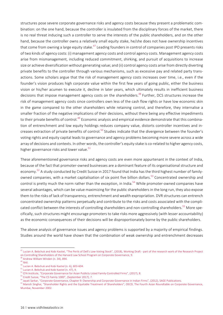structures pose severe corporate governance risks and agency costs because they present a problematic combination: on the one hand, because the controller is insulated from the disciplinary forces of the market, there is no real threat inducing such a controller to serve the interests of the public shareholders, and on the other hand, because the controller owns a relatively small equity stake, he/she does not have ownership incentives that come from owning a large equity stake.<sup>47</sup> Leading founders in control of companies post IPO presents risks of two kinds of agency costs: (i) management agency costs and control agency costs. Management agency costs arise from mismanagement, including reduced commitment, shirking, and pursuit of acquisitions to increase size or achieve diversification without generating value; and (ii) control agency costs arise from directly diverting private benefits to the controller through various mechanisms, such as excessive pay and related party transactions. Some scholars argue that the risk of management agency costs increases over time, i.e., even if the founder's vision produces high corporate value within the first few years of going public, either the business vision or his/her acumen to execute it, decline in later years, which ultimately results in inefficient business decisions that impose management agency costs on the shareholders.<sup>48</sup> Further, DCS structures increase the risk of management agency costs since controllers own less of the cash flow rights or have low economic skin in the game compared to the other shareholders while retaining control, and therefore, they internalise a smaller fraction of the negative implications of their decisions, without there being any effective impediments to their private benefits of control.<sup>49</sup> Economic analysis and empirical evidence demonstrate that this combination of entrenchment and low equity holdings reduces company value, distorts controller incentives and increases extraction of private benefits of control.<sup>50</sup> Studies indicate that the divergence between the founder's voting rights and equity capital leads to governance and agency problems becoming more severe across a wide array of decisions and contexts. In other words, the controller's equity stake is co-related to higher agency costs, higher governance risks and lower value.<sup>51</sup>

These aforementioned governance risks and agency costs are even more appurtenant in the context of India, because of the fact that promoter-owned businesses are a dominant feature of its organisational structure and economy.<sup>52</sup> A study conducted by Credit Suisse in 2017 found that India has the third highest number of familyowned companies, with a market capitalisation of six point five billion dollars.<sup>53</sup> Concentrated ownership and control is pretty much the norm rather than the exception, in India.<sup>54</sup> While promoter-owned companies have several advantages, which can be value maximizing for the public shareholders in the long run, they also expose them to the risks of lack of transparency, entrenchment and wealth expropriation. DVR structures can entrench concentrated ownership patterns perpetually and contribute to the risks and costs associated with the complicated conflict between the interests of controlling shareholders and non-controlling shareholders.<sup>55</sup> More specifically, such structures might encourage promoters to take risks more aggressively (with lesser accountability) as the economic consequences of their decisions will be disproportionately borne by the public shareholders.

The above analysis of governance issues and agency problems is supported by a majority of empirical findings. Studies around the world have shown that the combination of weak ownership and entrenchment decreases

<sup>&</sup>lt;sup>47</sup> Lucian A. Bebchuk and Kobi Kastiel, "The Perils of Dell's Low-Voting Stock", (2018), Working Draft - part of the research work of the Research Project on Controlling Shareholders of the Harvard Law School Program on Corporate Governance, 9.

<sup>48</sup> Andrew William Winden (n. 34), 894.

 $49$  Ibid.

<sup>50</sup> Lucian A. Bebchuk and Kobi Kastiel (n. 6), 603-604.

<sup>51</sup> Lucian A. Bebchuk and Kobi Kastiel (n. 47), 9.

<sup>52</sup> CFA Institute, "Corporate Governance for Asian Publicly Listed Family-Controlled Firms", (2017), 8.

<sup>&</sup>lt;sup>53</sup> Credit Suisse, "The CS Family 1000", (September 2017), 7.

<sup>54</sup> Jayati Sarkar, "Corporate Governance, Chapter 9: Ownership and Corporate Governance in Indian Firms", (2012), SAGE Publications.

<sup>55</sup> Manish Singhai, "Shareholder Rights and the Equitable Treatment of Shareholders", OECD, The Fourth Asian Roundtable on Corporate Governance, Mumbai, November 2002.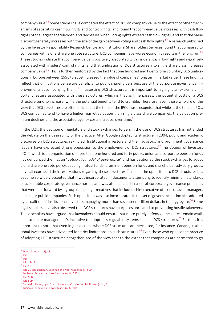company value.<sup>56</sup> Some studies have compared the effect of DCS on company value to the effect of other mechanisms of separating cash flow rights and control rights, and found that company value increases with cash flow rights of the largest shareholder, and decreases when voting rights exceed cash flow rights, and that the value discount generally increases with the size of the gap between voting and cash flow rights.<sup>57</sup> A research published by the Investor Responsibility Research Centre and Institutional Shareholders Services found that compared to companies with a one share one vote structure, DCS companies have worse economic results in the long run.<sup>58</sup> These studies indicate that company value is positively associated with insiders' cash flow rights and negatively associated with insiders' control rights, and that unification of DCS structures into single share class increases company value.<sup>59</sup> This is further reinforced by the fact that one hundred and twenty one voluntary DCS unifications in Europe between 1996 to 2009 increased the value of companies' long term market value. These findings reflect that unifications per se are beneficial to public shareholders because of the corporate governance improvements accompanying them.<sup>60</sup> In assessing DCS structures, it is important to highlight an extremely important feature associated with these structures, which is that as time passes, the potential costs of a DCS structure tend to increase, while the potential benefits tend to crumble. Therefore, even those who are of the view that DCS structures are often efficient at the time of the IPO, must recognise that while at the time of IPOs, DCS companies tend to have a higher market valuation than single class share companies, the valuation premium declines and the associated agency costs increase, over time. $61$ 

In the U.S., the decision of regulators and stock exchanges to permit the use of DCS structures has not ended the debate on the desirability of the practice. After Google adopted its structure in 2004, public and academic discourse on DCS structures rekindled. Institutional investors and their advisors, and prominent governance leaders have expressed strong opposition to the employment of DCS structures.<sup>62</sup> The Council of Investors ("CII") which is an organisation of more than one hundred and forty public, union and corporate pension funds has denounced them as an "*autocratic model of governance*" and has petitioned the stock exchanges to adopt a one share one vote policy. Leading mutual funds, prominent pension funds and shareholder advisory groups, have all expressed their reservations regarding these structures.<sup>63</sup> In fact, the opposition to DCS structures has become so widely accepted that it was incorporated in documents attempting to identify minimum standards of acceptable corporate governance norms, and was also included in a set of corporate governance principles that were put forward by a group of leading executives that included chief executive officers of asset managers and major public companies. Such opposition was also incorporated in the set of governance principles adopted by a coalition of institutional investors managing more than seventeen trillion dollars in the aggregate.<sup>64</sup> Some legal scholars have also observed that DCS structures have purposes unrelated to preventing hostile takeovers. These scholars have argued that lawmakers should ensure that more purely defensive measures remain available to dilute management's incentive to adopt less regulable systems such as DCS structures.<sup>65</sup> Further, it is important to note that even in jurisdictions where DCS structures are permitted, for instance, Canada, institutional investors have advocated for strict limitations on such structures.<sup>66</sup> Even those who oppose the practice of adopting DCS structures altogether, are of the view that to the extent that companies are permitted to go

 $58$  Ibid.

<sup>56</sup> Dov Solomon (n. 2), 18.

 $57$  Ibid.

<sup>59</sup> Ibid 18-19.  $60$  Ibid 19.

 $61$  Ibid 20 and Lucian A. Bebchuk and Kobi Kastiel (n. 6), 590. <sup>62</sup> Lucian A. Bebchuk and Kobi Kastiel (n. 6), 597.

<sup>63</sup> Ibid 598.

 $<sup>64</sup>$  Ibid 599.</sup>

<sup>&</sup>lt;sup>65</sup> Samuel L. Hayes, Lynn Sharp Paine and Christopher M. Bruner (n. 4), 4.

<sup>&</sup>lt;sup>66</sup> Lucian A. Bebchuk and Kobi Kastiel (n. 6), 601.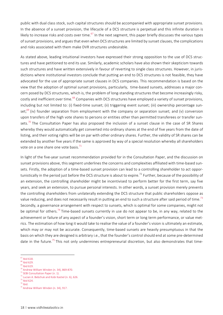public with dual class stock, such capital structures should be accompanied with appropriate sunset provisions. In the absence of a sunset provision, the lifecycle of a DCS structure is perpetual and this infinite duration is likely to increase risks and costs over time.<sup>67</sup> In the next segment, this paper briefly discusses the various types of sunset provisions, and argues that even when DCS structures are limited by sunset clauses, the complications and risks associated with them make DVR structures undesirable.

As stated above, leading intuitional investors have expressed their strong opposition to the use of DCS structures and have petitioned to end its use. Similarly, academic scholars have also shown their skepticism towards such structures and have written extensively in favour of reverting to single class structures. However, in jurisdictions where institutional investors conclude that putting an end to DCS structures is not feasible, they have advocated for the use of appropriate sunset clauses in DCS companies. This recommendation is based on the view that the adoption of optimal sunset provisions, particularly, time-based sunsets, addresses a major concern posed by DCS structures, which is, the problem of long-standing structures that become increasingly risky, costly and inefficient over time.<sup>68</sup> Companies with DCS structures have employed a variety of sunset provisions, including but not limited to: (i) fixed-time sunset; (ii) triggering event sunset; (iii) ownership percentage sunset;<sup>69</sup> (iv) founder separation from employment with the company or separation sunset; and (v) conversion upon transfers of the high vote shares to persons or entities other than permitted transferees or transfer sunsets.<sup>70</sup> The Consultation Paper has also proposed the inclusion of a sunset clause in the case of SR Shares whereby they would automatically get converted into ordinary shares at the end of five years from the date of listing, and their voting rights will be on par with other ordinary shares. Further, the validity of SR shares can be extended by another five years if the same is approved by way of a special resolution whereby all shareholders vote on a one share one vote basis. $71$ 

In light of the five-year sunset recommendation provided for in the Consultation Paper, and the discussion on sunset provisions above, this segment underlines the concerns and complexities affiliated with time-based sunsets. Firstly, the adoption of a time-based sunset provision can lead to a controlling shareholder to act opportunistically in the period just before the DCS structure is about to expire.<sup>72</sup> Further, because of the possibility of an extension, the controlling shareholder might be incentivised to perform better for the first term, say five years, and seek an extension, to pursue personal interests. In other words, a sunset provision merely prevents the controlling shareholders from unilaterally extending the DCS structure that public shareholders oppose as value reducing, and does not necessarily result in putting an end to such a structure after said period of time.<sup>73</sup> Secondly, a governance arrangement with respect to sunsets, which is optimal for some companies, might not be optimal for others.<sup>74</sup> Time-based sunsets currently in use do not appear to be, in any way, related to the achievement or failure of any aspect of a founder's vision, short term or long term performance, or value metrics. The estimation of how long it would take to realise the value of a founder's vision is ultimately an estimate, which may or may not be accurate. Consequently, time-based sunsets are heavily presumptuous in that the basis on which they are designed is arbitrary i.e., that the founder's control should end at some pre-determined date in the future.<sup>75</sup> This not only undermines entrepreneurial discretion, but also demonstrates that time-

- $\overline{a}$  $67$  Ibid 618.
- $68$  Ibid 629.
- $69$  Ibid 619.
- <sup>70</sup> Andrew William Winden (n. 34), 869-870.

- $<sup>73</sup>$  Ibid 624.</sup>
- $74$  Ibid.

<sup>71</sup> SEBI Consultation Paper (n. 1). <sup>72</sup> Lucian A. Bebchuk and Kobi Kastiel (n. 6), 626.

<sup>75</sup> Andrew William Winden (n. 34), 917.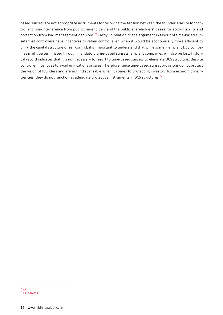based sunsets are not appropriate instruments for resolving the tension between the founder's desire for control and non-interference from public shareholders and the public shareholders' desire for accountability and protection from bad management decisions.<sup>76</sup> Lastly, in relation to the argument in favour of time-based sunsets that controllers have incentives to retain control even when it would be economically more efficient to unify the capital structure or sell control, it is important to understand that while some inefficient DCS companies might be terminated through mandatory time-based sunsets, efficient companies will also be lost. Historical record indicates that it is not necessary to resort to time-based sunsets to eliminate DCS structures despite controller incentives to avoid unifications or sales. Therefore, since time-based sunset provisions do not protect the vision of founders and are not indispensable when it comes to protecting investors from economic inefficiencies, they do not function as adequate protective instruments in DCS structures. $^{77}$ 

 $\overline{a}$ 

 $76$  Ibid. <sup>77</sup> Ibid 920-922.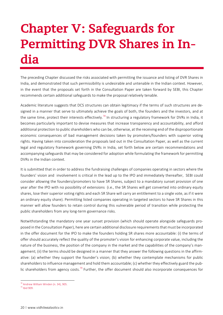## Chapter V: Safeguards for Permitting DVR Shares in India

The preceding Chapter discussed the risks associated with permitting the issuance and listing of DVR Shares in India, and demonstrated that such permissibility is undesirable and untenable in the Indian context. However, in the event that the proposals set forth in the Consultation Paper are taken forward by SEBI, this Chapter recommends certain additional safeguards to make the proposal relatively tenable.

Academic literature suggests that DCS structures can obtain legitimacy if the terms of such structures are designed in a manner that serve to ultimately achieve the goals of both, the founders and the investors, and at the same time, protect their interests effectively.<sup>78</sup> In structuring a regulatory framework for DVRs in India, it becomes particularly important to devise measures that increase transparency and accountability, and afford additional protection to public shareholders who can be, otherwise, at the receiving end of the disproportionate economic consequences of bad management decisions taken by promoters/founders with superior voting rights. Having taken into consideration the proposals laid out in the Consultation Paper, as well as the current legal and regulatory framework governing DVRs in India, set forth below are certain recommendations and accompanying safeguards that may be considered for adoption while formulating the framework for permitting DVRs in the Indian context.

It is submitted that in order to address the fundraising challenges of companies operating in sectors where the founders' vision and involvement is critical in the lead up to the IPO and immediately thereafter, SEBI could consider allowing the founders/promoters to have SR Shares, subject to a mandatory sunset provision of one year after the IPO with no possibility of extensions (i.e., the SR Shares will get converted into ordinary equity shares, lose their superior voting rights and each SR Share will carry an entitlement to a single vote, as if it were an ordinary equity share). Permitting listed companies operating in targeted sectors to have SR Shares in this manner will allow founders to retain control during this vulnerable period of transition while protecting the public shareholders from any long-term governance risks.

Notwithstanding the mandatory one year sunset provision (which should operate alongside safeguards proposed in the Consultation Paper), here are certain additional disclosure requirementsthat must be incorporated in the offer document for the IPO to make the founders holding SR shares more accountable: (i) the terms of offer should accurately reflect the quality of the promoter's vision for enhancing corporate value, including the nature of the business, the position of the company in the market and the capabilities of the company's management; (ii) the terms should be designed in a manner that they answer the following questions in the affirmative: (a) whether they support the founder's vision; (b) whether they contemplate mechanisms for public shareholders to influence management and hold them accountable; (c) whether they effectively guard the public shareholders from agency costs.<sup>79</sup> Further, the offer document should also incorporate consequences for

<sup>&</sup>lt;sup>78</sup> Andrew William Winden (n. 34), 905.

 $^{79}$  Ibid 909.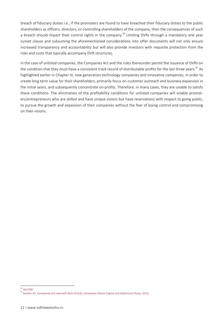breach of fiduciary duties i.e., if the promoters are found to have breached their fiduciary duties to the public shareholders as officers, directors, or controlling shareholders of the company, then the consequences of such a breach should impact their control rights in the company.<sup>80</sup> Limiting DVRs through a mandatory one year sunset clause and subsuming the aforementioned considerations into offer documents will not only ensure increased transparency and accountability but will also provide investors with requisite protection from the risks and costs that typically accompany DVR structures.

In the case of unlisted companies, the Companies Act and the rules thereunder permit the issuance of DVRs on the condition that they must have a consistent track record of distributable profits for the last three years.<sup>81</sup> As highlighted earlier in Chapter III, new generation technology companies and innovative companies, in order to create long term value for their shareholders, primarily focus on customer outreach and business expansion in the initial years, and subsequently concentrate on profits. Therefore, in many cases, they are unable to satisfy these conditions. The elimination of the profitability conditions for unlisted companies will enable promoters/entrepreneurs who are skilled and have unique visions but have reservations with respect to going public, to pursue the growth and expansion of their companies without the fear of losing control and compromising on their visions.

 $\overline{a}$ 

<sup>&</sup>lt;sup>80</sup> Ibid 930.

 $81$  Section 43, Companies Act read with Rule 4(1)(d), Companies (Share Capital and Debenture) Rules, 2014.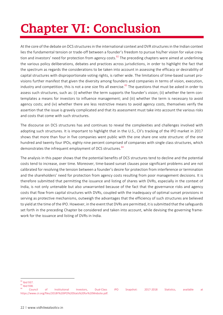# Chapter VI: Conclusion

At the core of the debate on DCS structuresin the international context and DVR structuresin the Indian context lies the fundamental tension or trade-off between a founder's freedom to pursue his/her vision for value creation and investors' need for protection from agency costs. $82$  The preceding chapters were aimed at underlining the various policy deliberations, debates and practices across jurisdictions, in order to highlight the fact that the spectrum as regards the considerations to be taken into account in assessing the efficacy or desirability of capital structures with disproportionate voting rights, is rather wide. The limitations of time-based sunset provisions further manifest that given the diversity among founders and companies in terms of vision, execution, industry and competition, this is not a one size fits all exercise. $83$  The questions that must be asked in order to assess such structures, such as: (i) whether the term supports the founder's vision; (ii) whether the term contemplates a means for investors to influence management; and (iii) whether the term is necessary to avoid agency costs; and (iv) whether there are less restrictive means to avoid agency costs, themselves verify the assertion that the issue is gravely complicated and that its assessment must take into account the various risks and costs that come with such structures.

The discourse on DCS structures has and continues to reveal the complexities and challenges involved with adopting such structures. It is important to highlight that in the U.S., CII's tracking of the IPO market in 2017 shows that more than four in five companies went public with the one share one vote structure: of the one hundred and twenty four IPOs, eighty nine percent comprised of companies with single class structures, which demonstrates the infrequent employment of DCS structures.<sup>84</sup>

The analysis in this paper shows that the potential benefits of DCS structures tend to decline and the potential costs tend to increase, over time. Moreover, time-based sunset clauses pose significant problems and are not calibrated for resolving the tension between a founder's desire for protection from interference or termination and the shareholders' need for protection from agency costs resulting from poor management decisions. It is therefore submitted that permitting the issuance and listing of shares with DVRs, especially in the context of India, is not only untenable but also unwarranted because of the fact that the governance risks and agency costs that flow from capital structures with DVRs, coupled with the inadequacy of optimal sunset provisions in serving as protective mechanisms, outweigh the advantages that the efficiency of such structures are believed to yield at the time of the IPO. However, in the event that DVRs are permitted, it is submitted that the safeguards set forth in the preceding Chapter be considered and taken into account, while devising the governing framework for the issuance and listing of DVRs in India.

 $\overline{a}$ <sup>82</sup> Ibid 937.

<sup>83</sup> Ibid 938.

<sup>&</sup>lt;sup>84</sup> Council of Institutional Investors, Dual-Class IPO Snapshot: 2017-2018 Statistics, available at https://www.cii.org/files/2018Y%20IPO%20Stats%20for%20Website.pdf.